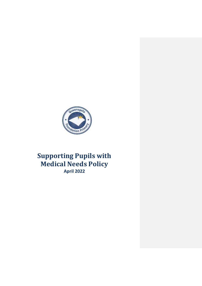

# **Supporting Pupils with Medical Needs Policy April 2022**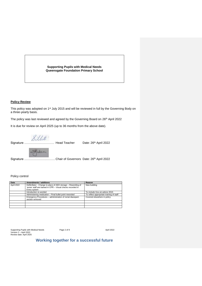**Supporting Pupils with Medical Needs Queensgate Foundation Primary School**

### **Policy Review**

This policy was adopted on 1<sup>st</sup> July 2015 and will be reviewed in full by the Governing Body on a three-yearly basis.

The policy was last reviewed and agreed by the Governing Board on 26th April 2022

It is due for review on April 2025 (up to 36 months from the above date).

Signature ………………………… Head Teacher Date: 26th April 2022

Signature ............................... Chair of Governors Date: 26<sup>th</sup> April 2022

Policy control

| Date       | Amendments / additions                                        | Reason                                   |
|------------|---------------------------------------------------------------|------------------------------------------|
| April 2022 | Defibrillator - Change to place of AED storage - Rewording of | New building                             |
|            | 'some' staff are trained in CPR - Visual checks recorded in   |                                          |
|            | Every system                                                  |                                          |
|            | Introduction re-worded                                        | To include Gov.uk advice 2015            |
|            | Administering medication - Final bullet point reworded        | To reflect appropriate training of staff |
|            | Emergency Procedures - administration of rectal diazepam      | Covered elsewhere in policy              |
|            | section removed                                               |                                          |
|            |                                                               |                                          |
|            |                                                               |                                          |
|            |                                                               |                                          |

Supporting Pupils with Medical Needs Page 2 of 9 April 2022 Version 2 – April 2022 Review date: April 2025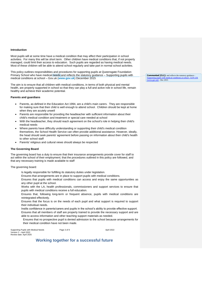### **Introduction**

Most pupils will at some time have a medical condition that may affect their participation in school activities. For many this will be short term. Other children have medical conditions that, if not properly managed, could limit their access to education. Such pupils are regarded as having medical needs. Most of these children will be able to attend school regularly and take part in normal school activities.

This policy outlines responsibilities and procedures for supporting pupils at Queensgate Foundation Primary School who have medical needs and reflects the statutory guidance – Supporting pupils with medical conditions at school – Gov.uk (**[www.gov.uk](http://www.gov.uk/)**) December 2015

The aim is to ensure that all children with medical conditions, in terms of both physical and mental health, are properly supported in school so that they can play a full and active role in school life, remain healthy and achieve their academic potential.

#### **Parents and guardians**

- Parents, as defined in the Education Act 1994, are a child's main carers. They are responsible for making sure that their child is well enough to attend school. Children should be kept at home when they are acutely unwell
- Parents are responsible for providing the headteacher with sufficient information about their child's medical condition and treatment or special care needed at school
- With the headteacher, they should reach agreement on the school's role in helping their child's medical needs
- Where parents have difficulty understanding or supporting their child's medical condition themselves, the School Health Service can often provide additional assistance. However, ideally, the head should seek parents' agreement before passing on information about their child's health to other school staff
- Parents' religious and cultural views should always be respected

### **The Governing Board**

The governing board has a duty to ensure that their insurance arrangements provide cover for staff to act within the school of their employment; that the procedures outlined in this policy are followed, and that any necessary training is made available to staff

The governing board:

- Is legally responsible for fulfilling its statutory duties under legislation.
- Ensures that arrangements are in place to support pupils with medical conditions.
- Ensures that pupils with medical conditions can access and enjoy the same opportunities as any other pupil at the school.
- Works with the LA, health professionals, commissioners and support services to ensure that pupils with medical conditions receive a full education.
- Ensures that, following long-term or frequent absence, pupils with medical conditions are reintegrated effectively.
- Ensures that the focus is on the needs of each pupil and what support is required to support their individual needs.
- Instils confidence in parents/carers and pupils in the school's ability to provide effective support. Ensures that all members of staff are properly trained to provide the necessary support and are able to access information and other teaching support materials as needed.
- Ensures that no prospective pupil is denied admission to the school because arrangements for their medical condition have not been made.

| Supporting Pupils with Medical Needs | Page 3 of 9 | April 2022 |
|--------------------------------------|-------------|------------|
| Version 2 - April 2022               |             |            |
| Review date: April 2025              |             |            |

### **Working together for a successful future**

**Commented [CL1]:** and reflects the statutory guidance -<br>Supporting pupils with modical conditions at school. GOV UV [Supporting pupils with medical conditions at school -](https://www.gov.uk/government/publications/supporting-pupils-at-school-with-medical-conditions--3#full-publication-update-history) GOV.UK [\(www.gov.uk\)](https://www.gov.uk/government/publications/supporting-pupils-at-school-with-medical-conditions--3#full-publication-update-history) - Dec 2015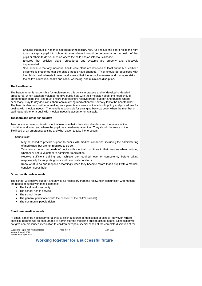Ensures that pupils' health is not put at unnecessary risk. As a result, the board holds the right to not accept a pupil into school at times where it would be detrimental to the health of that pupil or others to do so, such as where the child has an infectious disease.

Ensures that policies, plans, procedures and systems are properly and effectively implemented.

Should ensure that any individual health care plans are reviewed at least annually or earlier if evidence is presented that the child's needs have changed. They should be developed with the child's best interests in mind and ensure that the school assesses and manages risks to the child's education, health and social wellbeing, and minimises disruption.

### **The Headteacher**

The headteacher is responsible for implementing this policy in practice and for developing detailed procedures. When teachers volunteer to give pupils help with their medical needs, the head should agree to their doing this, and must ensure that teachers receive proper support and training where necessary. Day to day decisions about administering medication will normally fall to the headteacher. The head is also responsible for making sure parents are aware of the school's policy and procedures for dealing with medical needs. The head is responsible for arranging back‐up cover when the member of staff responsible for a pupil with medical needs is absent or unavailable.

#### **Teachers and other school staff**

Teachers who have pupils with medical needs in their class should understand the nature of the condition, and when and where the pupil may need extra attention. They should be aware of the likelihood of an emergency arising and what action to take if one occurs.

School staff:

May be asked to provide support to pupils with medical conditions, including the administering of medicines, but are not required to do so.

Take into account the needs of pupils with medical conditions in their lessons when deciding whether or not to volunteer to administer medication.

Receive sufficient training and achieve the required level of competency before taking responsibility for supporting pupils with medical conditions.

Know what to do and respond accordingly when they become aware that a pupil with a medical condition needs help.

### **Other health professionals**

The school will receive support and advice as necessary from the following in conjunction with meeting the needs of pupils with medical needs:

- The local health authority
- The school health service
- The school nurse
- The general practitioner (with the consent of the child's parents)
- The community paediatrician

#### **Short term medical needs**

At times, it may be necessary for a child to finish a course of medication at school. However, where possible, parents will be encouraged to administer the medicine outside school hours. School staff will not give non‐prescribed medication to children except in special cases at the complete discretion of the

Supporting Pupils with Medical Needs Page 4 of 9 April 2022<br>Version 2 – April 2022 Review date: April 2025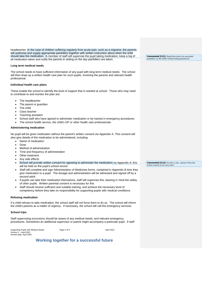headteacher. In the case of children suffering regularly from acute pain, such as a migraine, the parents will authorise and supply appropriate painkillers together with written instruction about when the child should take the medication. A member of staff will supervise the pupil taking medication, keep a log of all medication taken and notify the parents in writing on the day painkillers are taken.

### **Long term medical needs**

The school needs to have sufficient information of any pupil with long-term medical needs. The school will then draw up a written health care plan for such pupils, involving the parents and relevant health professional.

### **Individual health care plans**

These enable the school to identify the level of support that is needed at school. Those who may need to contribute to and monitor the plan are:

- The headteacher
- The parent or guardian
- The child
- Class teacher
- Teaching assistant
- School staff who have agreed to administer medication or be trained in emergency procedures
- The school health service, the child's GP or other health care professionals.

### **Administering medication**

No pupil will be given medication without the parent's written consent via Appendix A. This consent will also give details of the medication to be administered, including

- Name of medication
- Dose
- Method of administration
- Time and frequency of administration
- Other treatment
- Any side effects
- School will provide written consent for agreeing to administer the medication via Appendix A; this will be held on the pupil's school record
- Staff will complete and sign Administration of Medicines forms, contained in Appendix B time they give medication to a pupil. The dosage and administration will be witnessed and signed off by a second adult
- If pupils can take their medication themselves, staff will supervise this, bearing in mind the safety of other pupils. Written parental consent is necessary for this
- Staff should receive sufficient and suitable training, and achieve the necessary level of competency before they take on responsibility for supporting pupils with medical conditions.

#### **Refusing medication**

If a child refuses to take medication, the school staff will not force them to do so. The school will inform the child's parents as a matter of urgency. If necessary, the school will call the emergency services.

#### **School trips**

Staff supervising excursions should be aware of any medical needs, and relevant emergency procedures. Sometimes an additional supervisor or parent might accompany a particular pupil. If staff

| Supporting Pupils with Medical Needs | Page 5 of 9 | April 2022 |
|--------------------------------------|-------------|------------|
| Version 2 - April 2022               |             |            |
| Review date: April 2025              |             |            |

### **Working together for a successful future**

**Commented [CL2]:** Should this need to be prescribed painkillers via the child's GP/prescribing pharmacist?

**Commented [CL3]:** Provide to who - parents? Does this written consent occur every time?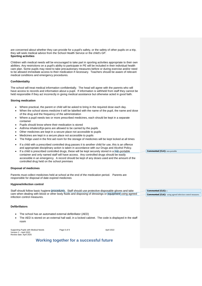are concerned about whether they can provide for a pupil's safety, or the safety of other pupils on a trip, they will seek medical advice from the School Health Service or the child's GP. **Sporting activities**

Children with medical needs will be encouraged to take part in sporting activities appropriate to their own abilities. Any restrictions on a pupil's ability to participate in PE will be included in their individual health care plan. Some pupils may need to take precautionary measures before or during exercise and/or need to be allowed immediate access to their medication if necessary. Teachers should be aware of relevant medical conditions and emergency procedures.

### **Confidentiality**

The school will treat medical information confidentially. The head will agree with the parents who will have access to records and information about a pupil. If information is withheld from staff they cannot be held responsible if they act incorrectly in giving medical assistance but otherwise acted in good faith.

#### **Storing medication**

- Where practical, the parent or child will be asked to bring in the required dose each day.
- When the school stores medicine it will be labelled with the name of the pupil, the name and dose of the drug and the frequency of the administration
- Where a pupil needs two or more prescribed medicines, each should be kept in a separate container
- Pupils should know where their medication is stored
- Asthma inhalers/Epi-pens are allowed to be carried by the pupils
- Other medicines are kept in a secure place not accessible to pupils
- Medicines are kept in a secure place not accessible to pupils
- The fridge used in the first aid room for the storage of medicines will be kept locked at all times
- If a child with a prescribed controlled drug passes it to another child for use, this is an offence and appropriate disciplinary action is taken in accordance with our Drugs and Alcohol Policy.
- If a child is prescribed controlled drugs, these will be kept securely stored in a non-portable container and only named staff will have access. Any controlled drugs should be easily accessible in an emergency. A record should be kept of any doses used and the amount of the controlled drug held on the school premises

### **Disposal of medicines**

Parents must collect medicines held at school at the end of the medication period. Parents are responsible for disposal of date expired medicines

### **Hygiene/infection control**

Staff should follow basic hygiene procedures. Staff should use protective disposable gloves and take care when dealing with blood or other body fluids and disposing of dressings or equipment using agreed infection control measures.

### **Defibrillators**

- The school has an automated external defibrillator (AED)
- The AED is stored on an external hall wall, in a locked cabinet. The code is displayed in the staff room

| Supporting Pupils with Medical Needs | Page 6 of 9 | April 2022 |
|--------------------------------------|-------------|------------|
| Version 2 – April 2022               |             |            |
| Review date: April 2025              |             |            |

### **Working together for a successful future**

**Commented [CL5]:** s **Commented [CL6]:** using agreed infection control measures.

**Commented [CL4]:** non-portable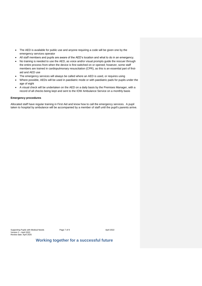- The AED is available for public use and anyone requiring a code will be given one by the emergency services operator
- All staff members and pupils are aware of the AED's location and what to do in an emergency.
- No training is needed to use the AED, as voice and/or visual prompts guide the rescuer through the entire process from when the device is first switched on or opened; however, some staff members are trained in cardiopulmonary resuscitation (CPR), as this is an essential part of firstaid and AED use
- The emergency services will always be called where an AED is used, or requires using
- Where possible, AEDs will be used in paediatric mode or with paediatric pads for pupils under the age of eight
- A visual check will be undertaken on the AED on a daily basis by the Premises Manager, with a record of all checks being kept and sent to the IOW Ambulance Service on a monthly basis

#### **Emergency procedures**

Allocated staff have regular training in First Aid and know how to call the emergency services. A pupil taken to hospital by ambulance will be accompanied by a member of staff until the pupil's parents arrive.

Supporting Pupils with Medical Needs Page 7 of 9 April 2022 Version 2 – April 2022 Review date: April 2025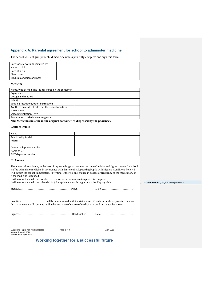### **Appendix A: Parental agreement for school to administer medicine**

The school will not give your child medicine unless you fully complete and sign this form.

| Date for review to be initiated by |  |
|------------------------------------|--|
| Name of child                      |  |
| Date of birth                      |  |
| Class name                         |  |
| Medical condition or illness       |  |

### **Medicine**

| Name/type of medicine (as described on the container)                                                                                                                                                                            |  |
|----------------------------------------------------------------------------------------------------------------------------------------------------------------------------------------------------------------------------------|--|
| Expiry date                                                                                                                                                                                                                      |  |
| Dosage and method                                                                                                                                                                                                                |  |
| Timing                                                                                                                                                                                                                           |  |
| Special precautions/other instructions                                                                                                                                                                                           |  |
| Are there any side effects that the school needs to                                                                                                                                                                              |  |
| know about                                                                                                                                                                                                                       |  |
| Self administration $-\nu/n$                                                                                                                                                                                                     |  |
| Procedures to take in an emergency                                                                                                                                                                                               |  |
| $\mathbf{A}$ to a matrix of the second second contract of the second second second contract of the second second second second second second second second second second second second second second second second second second |  |

**NB: Medicines must be in the original container as dispensed by the pharmacy**

### **Contact Details**

| Name                     |  |
|--------------------------|--|
| Relationship to child    |  |
| Address                  |  |
|                          |  |
| Contact telephone number |  |
| Name of GP               |  |
| GP Telephone number      |  |

### *Declaration*

The above information is, to the best of my knowledge, accurate at the time of writing and I give consent for school staff to administer medicine in accordance with the school's Supporting Pupils with Medical Conditions Policy. I will inform the school immediately, in writing, if there is any change in dosage or frequency of the medication, or if the medicine is stopped.

I will ensure the medicine is collected as soon as the administration period is complete.

I will ensure the medicine is handed in a Reception and not brought into school by my child.

| this arrangement will continue until either end date of course of medicine or until instructed by parents. |  |
|------------------------------------------------------------------------------------------------------------|--|

| пеашеаспе. |  |  |  |
|------------|--|--|--|
|------------|--|--|--|

Supporting Pupils with Medical Needs Page 8 of 9 April 2022 Version 2 – April 2022 Review date: April 2025

### **Working together for a successful future**

**Commented [CL7]:** to school personnel at